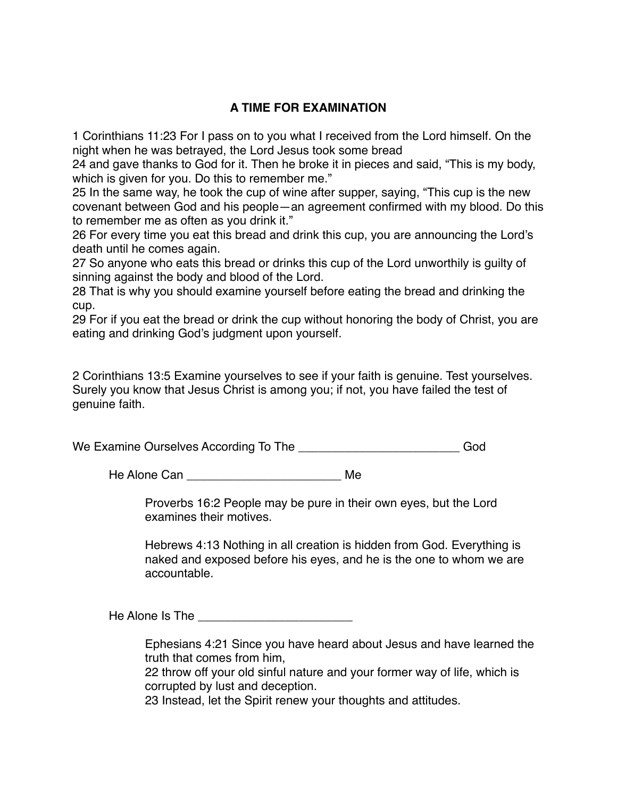## **A TIME FOR EXAMINATION**

1 Corinthians 11:23 For I pass on to you what I received from the Lord himself. On the night when he was betrayed, the Lord Jesus took some bread

24 and gave thanks to God for it. Then he broke it in pieces and said, "This is my body, which is given for you. Do this to remember me."

25 In the same way, he took the cup of wine after supper, saying, "This cup is the new covenant between God and his people—an agreement confirmed with my blood. Do this to remember me as often as you drink it."

26 For every time you eat this bread and drink this cup, you are announcing the Lord's death until he comes again.

27 So anyone who eats this bread or drinks this cup of the Lord unworthily is guilty of sinning against the body and blood of the Lord.

28 That is why you should examine yourself before eating the bread and drinking the cup.

29 For if you eat the bread or drink the cup without honoring the body of Christ, you are eating and drinking God's judgment upon yourself.

2 Corinthians 13:5 Examine yourselves to see if your faith is genuine. Test yourselves. Surely you know that Jesus Christ is among you; if not, you have failed the test of genuine faith.

We Examine Ourselves According To The \_\_\_\_\_\_\_\_\_\_\_\_\_\_\_\_\_\_\_\_\_\_\_\_\_\_\_\_God

He Alone Can \_\_\_\_\_\_\_\_\_\_\_\_\_\_\_\_\_\_\_\_\_\_\_ Me

Proverbs 16:2 People may be pure in their own eyes, but the Lord examines their motives.

Hebrews 4:13 Nothing in all creation is hidden from God. Everything is naked and exposed before his eyes, and he is the one to whom we are accountable

He Alone Is The **Example 20** 

Ephesians 4:21 Since you have heard about Jesus and have learned the truth that comes from him.

22 throw off your old sinful nature and your former way of life, which is corrupted by lust and deception.

23 Instead, let the Spirit renew your thoughts and attitudes.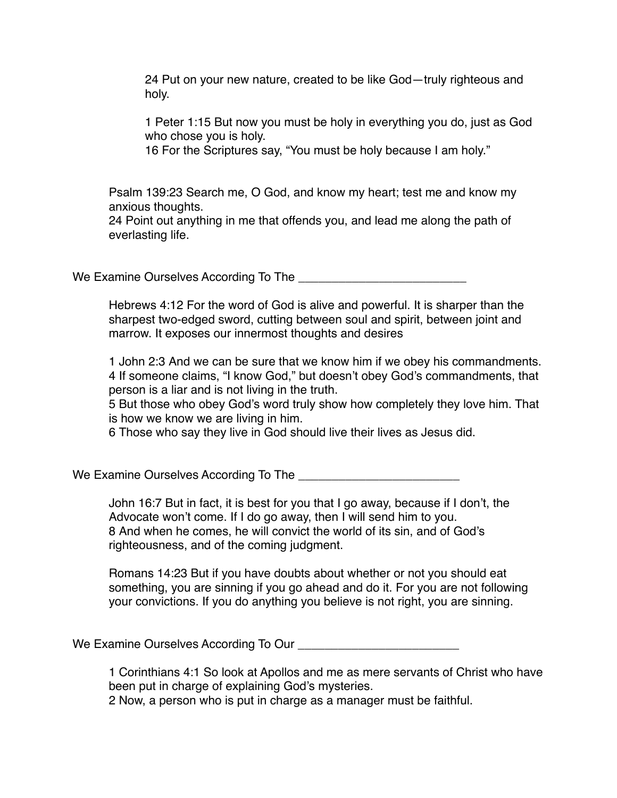24 Put on your new nature, created to be like God—truly righteous and holy.

1 Peter 1:15 But now you must be holy in everything you do, just as God who chose you is holy.

16 For the Scriptures say, "You must be holy because I am holy."

Psalm 139:23 Search me, O God, and know my heart; test me and know my anxious thoughts.

24 Point out anything in me that offends you, and lead me along the path of everlasting life.

We Examine Ourselves According To The **We Examine Ourselves According To The** 

Hebrews 4:12 For the word of God is alive and powerful. It is sharper than the sharpest two-edged sword, cutting between soul and spirit, between joint and marrow. It exposes our innermost thoughts and desires

1 John 2:3 And we can be sure that we know him if we obey his commandments. 4 If someone claims, "I know God," but doesn't obey God's commandments, that person is a liar and is not living in the truth.

5 But those who obey God's word truly show how completely they love him. That is how we know we are living in him.

6 Those who say they live in God should live their lives as Jesus did.

We Examine Ourselves According To The **Example 2018** 

John 16:7 But in fact, it is best for you that I go away, because if I don't, the Advocate won't come. If I do go away, then I will send him to you. 8 And when he comes, he will convict the world of its sin, and of God's righteousness, and of the coming judgment.

Romans 14:23 But if you have doubts about whether or not you should eat something, you are sinning if you go ahead and do it. For you are not following your convictions. If you do anything you believe is not right, you are sinning.

We Examine Ourselves According To Our **Landsler** Contract to Unit Contract the United States of the United States of the United States of the United States of the United States of the United States of the United States of

1 Corinthians 4:1 So look at Apollos and me as mere servants of Christ who have been put in charge of explaining God's mysteries.

2 Now, a person who is put in charge as a manager must be faithful.